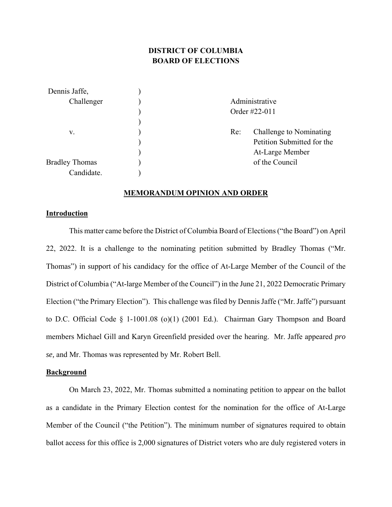# **DISTRICT OF COLUMBIA BOARD OF ELECTIONS**

| Dennis Jaffe,         |                |                            |
|-----------------------|----------------|----------------------------|
| Challenger            | Administrative |                            |
|                       | Order #22-011  |                            |
|                       |                |                            |
| v.                    | Re:            | Challenge to Nominating    |
|                       |                | Petition Submitted for the |
|                       |                | At-Large Member            |
| <b>Bradley Thomas</b> |                | of the Council             |
| Candidate.            |                |                            |

#### **MEMORANDUM OPINION AND ORDER**

#### **Introduction**

This matter came before the District of Columbia Board of Elections ("the Board") on April 22, 2022. It is a challenge to the nominating petition submitted by Bradley Thomas ("Mr. Thomas") in support of his candidacy for the office of At-Large Member of the Council of the District of Columbia ("At-large Member of the Council") in the June 21, 2022 Democratic Primary Election ("the Primary Election"). This challenge was filed by Dennis Jaffe ("Mr. Jaffe") pursuant to D.C. Official Code § 1-1001.08 (o)(1) (2001 Ed.). Chairman Gary Thompson and Board members Michael Gill and Karyn Greenfield presided over the hearing. Mr. Jaffe appeared *pro se,* and Mr. Thomas was represented by Mr. Robert Bell.

### **Background**

On March 23, 2022, Mr. Thomas submitted a nominating petition to appear on the ballot as a candidate in the Primary Election contest for the nomination for the office of At-Large Member of the Council ("the Petition"). The minimum number of signatures required to obtain ballot access for this office is 2,000 signatures of District voters who are duly registered voters in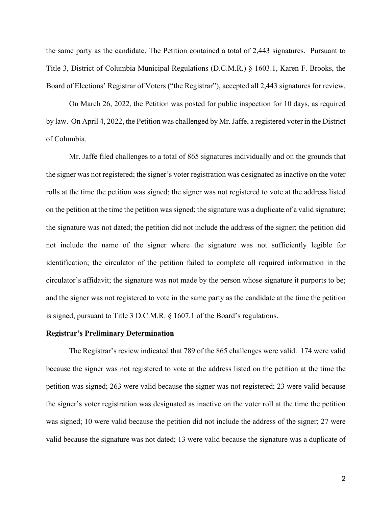the same party as the candidate. The Petition contained a total of 2,443 signatures. Pursuant to Title 3, District of Columbia Municipal Regulations (D.C.M.R.) § 1603.1, Karen F. Brooks, the Board of Elections' Registrar of Voters ("the Registrar"), accepted all 2,443 signatures for review.

On March 26, 2022, the Petition was posted for public inspection for 10 days, as required by law. On April 4, 2022, the Petition was challenged by Mr. Jaffe, a registered voter in the District of Columbia.

Mr. Jaffe filed challenges to a total of 865 signatures individually and on the grounds that the signer was not registered; the signer's voter registration was designated as inactive on the voter rolls at the time the petition was signed; the signer was not registered to vote at the address listed on the petition at the time the petition was signed; the signature was a duplicate of a valid signature; the signature was not dated; the petition did not include the address of the signer; the petition did not include the name of the signer where the signature was not sufficiently legible for identification; the circulator of the petition failed to complete all required information in the circulator's affidavit; the signature was not made by the person whose signature it purports to be; and the signer was not registered to vote in the same party as the candidate at the time the petition is signed, pursuant to Title 3 D.C.M.R. § 1607.1 of the Board's regulations.

#### **Registrar's Preliminary Determination**

The Registrar's review indicated that 789 of the 865 challenges were valid. 174 were valid because the signer was not registered to vote at the address listed on the petition at the time the petition was signed; 263 were valid because the signer was not registered; 23 were valid because the signer's voter registration was designated as inactive on the voter roll at the time the petition was signed; 10 were valid because the petition did not include the address of the signer; 27 were valid because the signature was not dated; 13 were valid because the signature was a duplicate of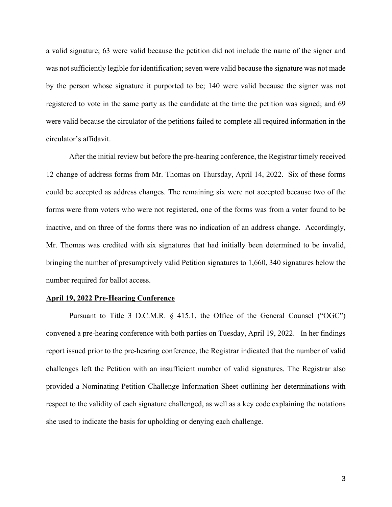a valid signature; 63 were valid because the petition did not include the name of the signer and was not sufficiently legible for identification; seven were valid because the signature was not made by the person whose signature it purported to be; 140 were valid because the signer was not registered to vote in the same party as the candidate at the time the petition was signed; and 69 were valid because the circulator of the petitions failed to complete all required information in the circulator's affidavit.

After the initial review but before the pre-hearing conference, the Registrar timely received 12 change of address forms from Mr. Thomas on Thursday, April 14, 2022. Six of these forms could be accepted as address changes. The remaining six were not accepted because two of the forms were from voters who were not registered, one of the forms was from a voter found to be inactive, and on three of the forms there was no indication of an address change. Accordingly, Mr. Thomas was credited with six signatures that had initially been determined to be invalid, bringing the number of presumptively valid Petition signatures to 1,660, 340 signatures below the number required for ballot access.

#### **April 19, 2022 Pre-Hearing Conference**

Pursuant to Title 3 D.C.M.R. § 415.1, the Office of the General Counsel ("OGC") convened a pre-hearing conference with both parties on Tuesday, April 19, 2022. In her findings report issued prior to the pre-hearing conference, the Registrar indicated that the number of valid challenges left the Petition with an insufficient number of valid signatures. The Registrar also provided a Nominating Petition Challenge Information Sheet outlining her determinations with respect to the validity of each signature challenged, as well as a key code explaining the notations she used to indicate the basis for upholding or denying each challenge.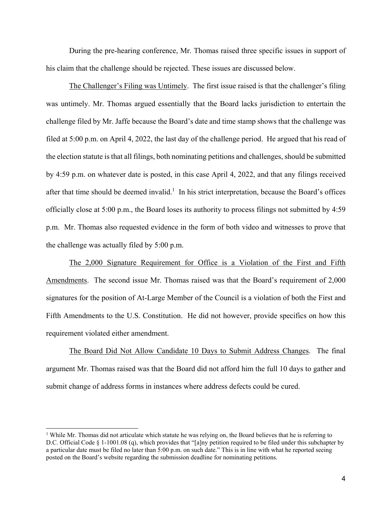During the pre-hearing conference, Mr. Thomas raised three specific issues in support of his claim that the challenge should be rejected. These issues are discussed below.

The Challenger's Filing was Untimely. The first issue raised is that the challenger's filing was untimely. Mr. Thomas argued essentially that the Board lacks jurisdiction to entertain the challenge filed by Mr. Jaffe because the Board's date and time stamp shows that the challenge was filed at 5:00 p.m. on April 4, 2022, the last day of the challenge period. He argued that his read of the election statute is that all filings, both nominating petitions and challenges, should be submitted by 4:59 p.m. on whatever date is posted, in this case April 4, 2022, and that any filings received after that time should be deemed invalid.<sup>1</sup> In his strict interpretation, because the Board's offices officially close at 5:00 p.m., the Board loses its authority to process filings not submitted by 4:59 p.m. Mr. Thomas also requested evidence in the form of both video and witnesses to prove that the challenge was actually filed by 5:00 p.m.

The 2,000 Signature Requirement for Office is a Violation of the First and Fifth Amendments. The second issue Mr. Thomas raised was that the Board's requirement of 2,000 signatures for the position of At-Large Member of the Council is a violation of both the First and Fifth Amendments to the U.S. Constitution. He did not however, provide specifics on how this requirement violated either amendment.

The Board Did Not Allow Candidate 10 Days to Submit Address Changes. The final argument Mr. Thomas raised was that the Board did not afford him the full 10 days to gather and submit change of address forms in instances where address defects could be cured.

<sup>&</sup>lt;sup>1</sup> While Mr. Thomas did not articulate which statute he was relying on, the Board believes that he is referring to D.C. Official Code § 1-1001.08 (q), which provides that "[a]ny petition required to be filed under this subchapter by a particular date must be filed no later than 5:00 p.m. on such date." This is in line with what he reported seeing posted on the Board's website regarding the submission deadline for nominating petitions.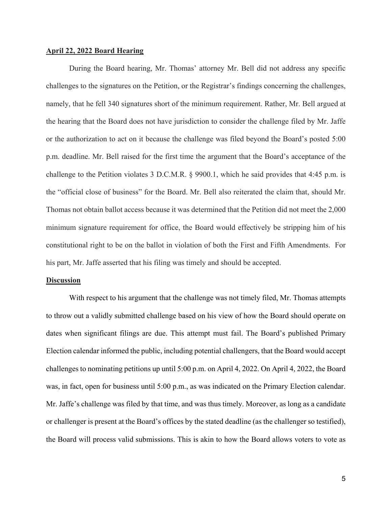#### **April 22, 2022 Board Hearing**

During the Board hearing, Mr. Thomas' attorney Mr. Bell did not address any specific challenges to the signatures on the Petition, or the Registrar's findings concerning the challenges, namely, that he fell 340 signatures short of the minimum requirement. Rather, Mr. Bell argued at the hearing that the Board does not have jurisdiction to consider the challenge filed by Mr. Jaffe or the authorization to act on it because the challenge was filed beyond the Board's posted 5:00 p.m. deadline. Mr. Bell raised for the first time the argument that the Board's acceptance of the challenge to the Petition violates 3 D.C.M.R. § 9900.1, which he said provides that 4:45 p.m. is the "official close of business" for the Board. Mr. Bell also reiterated the claim that, should Mr. Thomas not obtain ballot access because it was determined that the Petition did not meet the 2,000 minimum signature requirement for office, the Board would effectively be stripping him of his constitutional right to be on the ballot in violation of both the First and Fifth Amendments. For his part, Mr. Jaffe asserted that his filing was timely and should be accepted.

#### **Discussion**

With respect to his argument that the challenge was not timely filed, Mr. Thomas attempts to throw out a validly submitted challenge based on his view of how the Board should operate on dates when significant filings are due. This attempt must fail. The Board's published Primary Election calendar informed the public, including potential challengers, that the Board would accept challenges to nominating petitions up until 5:00 p.m. on April 4, 2022. On April 4, 2022, the Board was, in fact, open for business until 5:00 p.m., as was indicated on the Primary Election calendar. Mr. Jaffe's challenge was filed by that time, and was thus timely. Moreover, as long as a candidate or challenger is present at the Board's offices by the stated deadline (as the challenger so testified), the Board will process valid submissions. This is akin to how the Board allows voters to vote as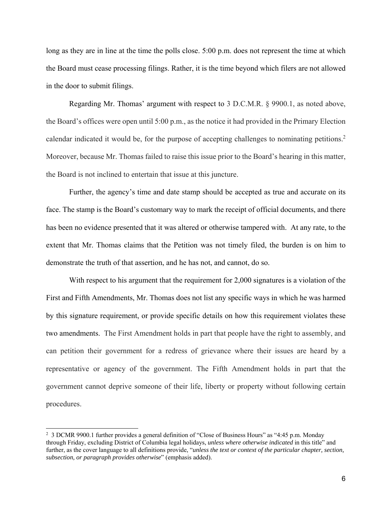long as they are in line at the time the polls close. 5:00 p.m. does not represent the time at which the Board must cease processing filings. Rather, it is the time beyond which filers are not allowed in the door to submit filings.

Regarding Mr. Thomas' argument with respect to 3 D.C.M.R. § 9900.1, as noted above, the Board's offices were open until 5:00 p.m., as the notice it had provided in the Primary Election calendar indicated it would be, for the purpose of accepting challenges to nominating petitions.<sup>2</sup> Moreover, because Mr. Thomas failed to raise this issue prior to the Board's hearing in this matter, the Board is not inclined to entertain that issue at this juncture.

Further, the agency's time and date stamp should be accepted as true and accurate on its face. The stamp is the Board's customary way to mark the receipt of official documents, and there has been no evidence presented that it was altered or otherwise tampered with. At any rate, to the extent that Mr. Thomas claims that the Petition was not timely filed, the burden is on him to demonstrate the truth of that assertion, and he has not, and cannot, do so.

With respect to his argument that the requirement for 2,000 signatures is a violation of the First and Fifth Amendments, Mr. Thomas does not list any specific ways in which he was harmed by this signature requirement, or provide specific details on how this requirement violates these two amendments. The First Amendment holds in part that people have the right to assembly, and can petition their government for a redress of grievance where their issues are heard by a representative or agency of the government. The Fifth Amendment holds in part that the government cannot deprive someone of their life, liberty or property without following certain procedures.

<sup>2</sup> 3 DCMR 9900.1 further provides a general definition of "Close of Business Hours" as "4:45 p.m. Monday through Friday, excluding District of Columbia legal holidays, *unless where otherwise indicated* in this title" and further, as the cover language to all definitions provide, "*unless the text or context of the particular chapter, section, subsection, or paragraph provides otherwise*" (emphasis added).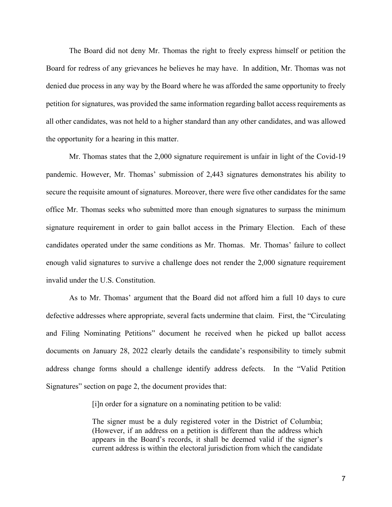The Board did not deny Mr. Thomas the right to freely express himself or petition the Board for redress of any grievances he believes he may have. In addition, Mr. Thomas was not denied due process in any way by the Board where he was afforded the same opportunity to freely petition for signatures, was provided the same information regarding ballot access requirements as all other candidates, was not held to a higher standard than any other candidates, and was allowed the opportunity for a hearing in this matter.

Mr. Thomas states that the 2,000 signature requirement is unfair in light of the Covid-19 pandemic. However, Mr. Thomas' submission of 2,443 signatures demonstrates his ability to secure the requisite amount of signatures. Moreover, there were five other candidates for the same office Mr. Thomas seeks who submitted more than enough signatures to surpass the minimum signature requirement in order to gain ballot access in the Primary Election. Each of these candidates operated under the same conditions as Mr. Thomas. Mr. Thomas' failure to collect enough valid signatures to survive a challenge does not render the 2,000 signature requirement invalid under the U.S. Constitution.

As to Mr. Thomas' argument that the Board did not afford him a full 10 days to cure defective addresses where appropriate, several facts undermine that claim. First, the "Circulating and Filing Nominating Petitions" document he received when he picked up ballot access documents on January 28, 2022 clearly details the candidate's responsibility to timely submit address change forms should a challenge identify address defects. In the "Valid Petition Signatures" section on page 2, the document provides that:

[i]n order for a signature on a nominating petition to be valid:

The signer must be a duly registered voter in the District of Columbia; (However, if an address on a petition is different than the address which appears in the Board's records, it shall be deemed valid if the signer's current address is within the electoral jurisdiction from which the candidate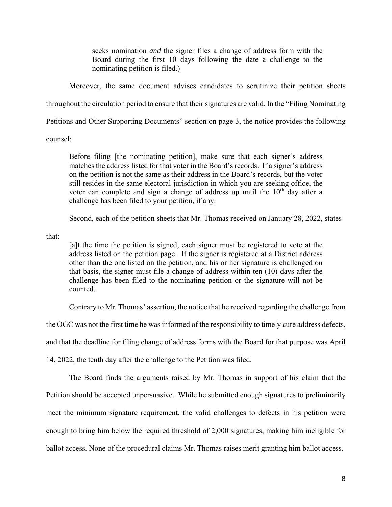seeks nomination *and* the signer files a change of address form with the Board during the first 10 days following the date a challenge to the nominating petition is filed.)

Moreover, the same document advises candidates to scrutinize their petition sheets

throughout the circulation period to ensure that their signatures are valid. In the "Filing Nominating

Petitions and Other Supporting Documents" section on page 3, the notice provides the following

counsel:

Before filing [the nominating petition], make sure that each signer's address matches the address listed for that voter in the Board's records. If a signer's address on the petition is not the same as their address in the Board's records, but the voter still resides in the same electoral jurisdiction in which you are seeking office, the voter can complete and sign a change of address up until the  $10<sup>th</sup>$  day after a challenge has been filed to your petition, if any.

Second, each of the petition sheets that Mr. Thomas received on January 28, 2022, states

that:

[a]t the time the petition is signed, each signer must be registered to vote at the address listed on the petition page. If the signer is registered at a District address other than the one listed on the petition, and his or her signature is challenged on that basis, the signer must file a change of address within ten (10) days after the challenge has been filed to the nominating petition or the signature will not be counted.

Contrary to Mr. Thomas' assertion, the notice that he received regarding the challenge from

the OGC was not the first time he was informed of the responsibility to timely cure address defects,

and that the deadline for filing change of address forms with the Board for that purpose was April

14, 2022, the tenth day after the challenge to the Petition was filed.

The Board finds the arguments raised by Mr. Thomas in support of his claim that the Petition should be accepted unpersuasive. While he submitted enough signatures to preliminarily meet the minimum signature requirement, the valid challenges to defects in his petition were enough to bring him below the required threshold of 2,000 signatures, making him ineligible for ballot access. None of the procedural claims Mr. Thomas raises merit granting him ballot access.